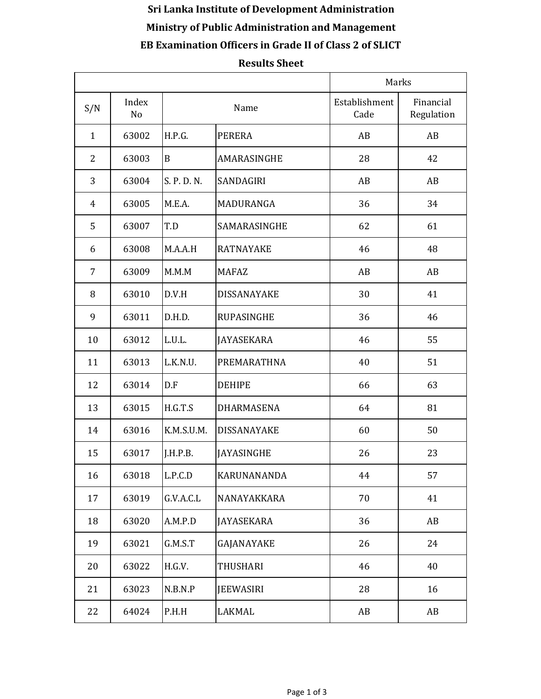## **Sri Lanka Institute of Development Administration Ministry of Public Administration and Management EB Examination Officers in Grade II of Class 2 of SLICT**

## **Results Sheet**

|                |                         |             |                    | Marks                 |                         |
|----------------|-------------------------|-------------|--------------------|-----------------------|-------------------------|
| S/N            | Index<br>N <sub>o</sub> |             | Name               | Establishment<br>Cade | Financial<br>Regulation |
| $\mathbf{1}$   | 63002                   | H.P.G.      | <b>PERERA</b>      | AB                    | AB                      |
| $\overline{2}$ | 63003                   | B           | AMARASINGHE        | 28                    | 42                      |
| 3              | 63004                   | S. P. D. N. | <b>SANDAGIRI</b>   | AB                    | AB                      |
| $\overline{4}$ | 63005                   | M.E.A.      | MADURANGA          | 36                    | 34                      |
| 5              | 63007                   | T.D         | SAMARASINGHE       | 62                    | 61                      |
| 6              | 63008                   | M.A.A.H     | <b>RATNAYAKE</b>   | 46                    | 48                      |
| 7              | 63009                   | M.M.M       | <b>MAFAZ</b>       | AB                    | AB                      |
| 8              | 63010                   | D.V.H       | DISSANAYAKE        | 30                    | 41                      |
| 9              | 63011                   | D.H.D.      | <b>RUPASINGHE</b>  | 36                    | 46                      |
| 10             | 63012                   | L.U.L.      | <b>JAYASEKARA</b>  | 46                    | 55                      |
| 11             | 63013                   | L.K.N.U.    | PREMARATHNA        | 40                    | 51                      |
| 12             | 63014                   | D.F         | <b>DEHIPE</b>      | 66                    | 63                      |
| 13             | 63015                   | H.G.T.S     | DHARMASENA         | 64                    | 81                      |
| 14             | 63016                   | K.M.S.U.M.  | <b>DISSANAYAKE</b> | 60                    | 50                      |
| 15             | 63017                   | J.H.P.B.    | <b>JAYASINGHE</b>  | 26                    | 23                      |
| 16             | 63018                   | L.P.C.D     | KARUNANANDA        | 44                    | 57                      |
| 17             | 63019                   | G.V.A.C.L   | NANAYAKKARA        | 70                    | 41                      |
| 18             | 63020                   | A.M.P.D     | <b>JAYASEKARA</b>  | 36                    | AB                      |
| 19             | 63021                   | G.M.S.T     | GAJANAYAKE         | 26                    | 24                      |
| 20             | 63022                   | H.G.V.      | <b>THUSHARI</b>    | 46                    | 40                      |
| 21             | 63023                   | N.B.N.P     | <b>JEEWASIRI</b>   | 28                    | 16                      |
| 22             | 64024                   | P.H.H       | LAKMAL             | AB                    | AB                      |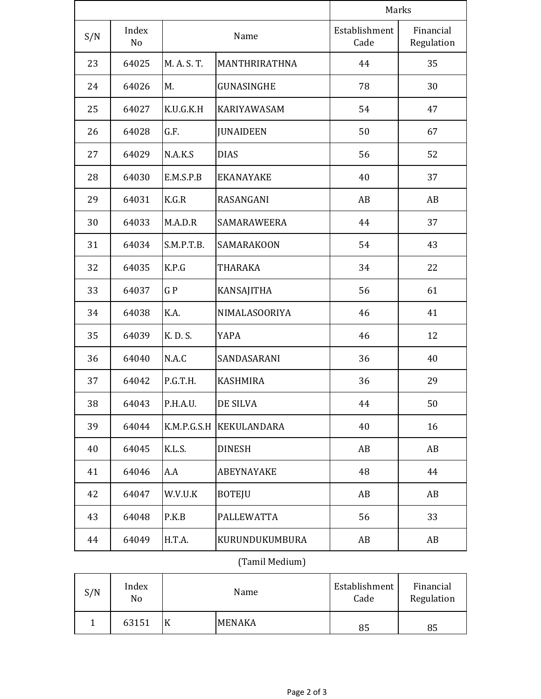|     |                         |             |                    | Marks                 |                         |  |
|-----|-------------------------|-------------|--------------------|-----------------------|-------------------------|--|
| S/N | Index<br>N <sub>o</sub> |             | Name               | Establishment<br>Cade | Financial<br>Regulation |  |
| 23  | 64025                   | M. A. S. T. | MANTHRIRATHNA      | 44                    | 35                      |  |
| 24  | 64026                   | M.          | GUNASINGHE         | 78                    | 30                      |  |
| 25  | 64027                   | K.U.G.K.H   | <b>KARIYAWASAM</b> | 54                    | 47                      |  |
| 26  | 64028                   | G.F.        | <b>JUNAIDEEN</b>   | 50                    | 67                      |  |
| 27  | 64029                   | N.A.K.S     | <b>DIAS</b>        | 56                    | 52                      |  |
| 28  | 64030                   | E.M.S.P.B   | <b>EKANAYAKE</b>   | 40                    | 37                      |  |
| 29  | 64031                   | K.G.R       | RASANGANI          | AB                    | AB                      |  |
| 30  | 64033                   | M.A.D.R     | SAMARAWEERA        | 44                    | 37                      |  |
| 31  | 64034                   | S.M.P.T.B.  | <b>SAMARAKOON</b>  | 54                    | 43                      |  |
| 32  | 64035                   | K.P.G       | <b>THARAKA</b>     | 34                    | 22                      |  |
| 33  | 64037                   | GP          | <b>KANSAJITHA</b>  | 56                    | 61                      |  |
| 34  | 64038                   | K.A.        | NIMALASOORIYA      | 46                    | 41                      |  |
| 35  | 64039                   | K. D. S.    | <b>YAPA</b>        | 46                    | 12                      |  |
| 36  | 64040                   | N.A.C       | SANDASARANI        | 36                    | 40                      |  |
| 37  | 64042                   | P.G.T.H.    | <b>KASHMIRA</b>    | 36                    | 29                      |  |
| 38  | 64043                   | P.H.A.U.    | DE SILVA           | 44                    | 50                      |  |
| 39  | 64044                   | K.M.P.G.S.H | <b>KEKULANDARA</b> | 40                    | 16                      |  |
| 40  | 64045                   | K.L.S.      | <b>DINESH</b>      | AB                    | AB                      |  |
| 41  | 64046                   | A.A         | <b>ABEYNAYAKE</b>  | 48                    | 44                      |  |
| 42  | 64047                   | W.V.U.K     | <b>BOTEJU</b>      | AB                    | AB                      |  |
| 43  | 64048                   | P.K.B       | <b>PALLEWATTA</b>  | 56                    | 33                      |  |
| 44  | 64049                   | H.T.A.      | KURUNDUKUMBURA     | AB                    | AB                      |  |

## (Tamil Medium)

| S/N | Index<br>No | Name |               | Establishment<br>Cade | Financial<br>Regulation |
|-----|-------------|------|---------------|-----------------------|-------------------------|
|     | 63151       |      | <b>MENAKA</b> | 85                    | 85                      |